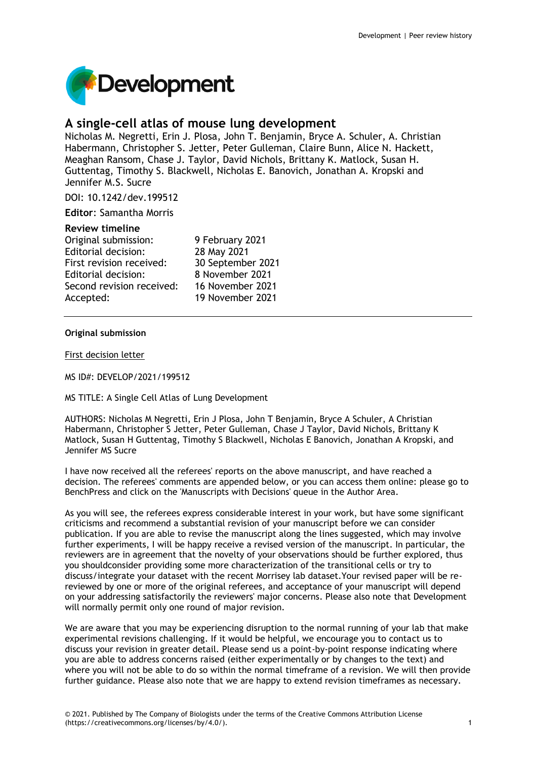

# **A single-cell atlas of mouse lung development**

Nicholas M. Negretti, Erin J. Plosa, John T. Benjamin, Bryce A. Schuler, A. Christian Habermann, Christopher S. Jetter, Peter Gulleman, Claire Bunn, Alice N. Hackett, Meaghan Ransom, Chase J. Taylor, David Nichols, Brittany K. Matlock, Susan H. Guttentag, Timothy S. Blackwell, Nicholas E. Banovich, Jonathan A. Kropski and Jennifer M.S. Sucre

DOI: 10.1242/dev.199512

**Editor**: Samantha Morris

## **Review timeline**

## **Original submission**

First decision letter

MS ID#: DEVELOP/2021/199512

MS TITLE: A Single Cell Atlas of Lung Development

AUTHORS: Nicholas M Negretti, Erin J Plosa, John T Benjamin, Bryce A Schuler, A Christian Habermann, Christopher S Jetter, Peter Gulleman, Chase J Taylor, David Nichols, Brittany K Matlock, Susan H Guttentag, Timothy S Blackwell, Nicholas E Banovich, Jonathan A Kropski, and Jennifer MS Sucre

I have now received all the referees' reports on the above manuscript, and have reached a decision. The referees' comments are appended below, or you can access them online: please go to BenchPress and click on the 'Manuscripts with Decisions' queue in the Author Area.

As you will see, the referees express considerable interest in your work, but have some significant criticisms and recommend a substantial revision of your manuscript before we can consider publication. If you are able to revise the manuscript along the lines suggested, which may involve further experiments, I will be happy receive a revised version of the manuscript. In particular, the reviewers are in agreement that the novelty of your observations should be further explored, thus you shouldconsider providing some more characterization of the transitional cells or try to discuss/integrate your dataset with the recent Morrisey lab dataset.Your revised paper will be rereviewed by one or more of the original referees, and acceptance of your manuscript will depend on your addressing satisfactorily the reviewers' major concerns. Please also note that Development will normally permit only one round of major revision.

We are aware that you may be experiencing disruption to the normal running of your lab that make experimental revisions challenging. If it would be helpful, we encourage you to contact us to discuss your revision in greater detail. Please send us a point-by-point response indicating where you are able to address concerns raised (either experimentally or by changes to the text) and where you will not be able to do so within the normal timeframe of a revision. We will then provide further guidance. Please also note that we are happy to extend revision timeframes as necessary.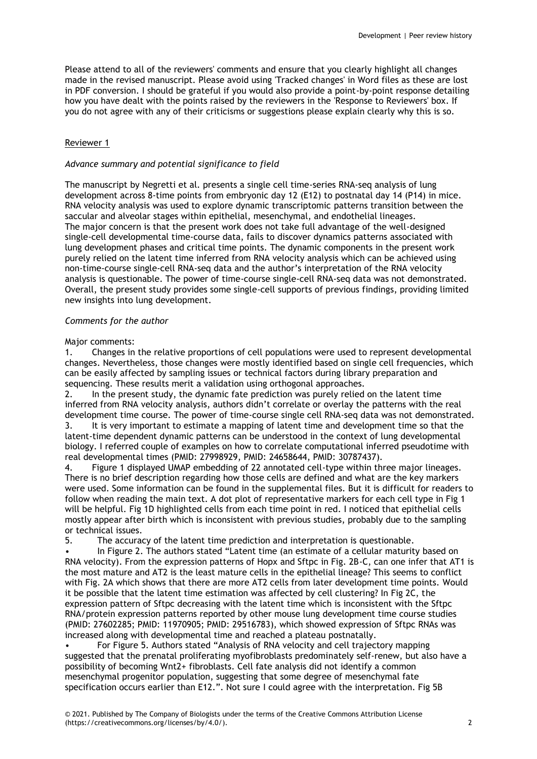Please attend to all of the reviewers' comments and ensure that you clearly highlight all changes made in the revised manuscript. Please avoid using 'Tracked changes' in Word files as these are lost in PDF conversion. I should be grateful if you would also provide a point-by-point response detailing how you have dealt with the points raised by the reviewers in the 'Response to Reviewers' box. If you do not agree with any of their criticisms or suggestions please explain clearly why this is so.

# Reviewer 1

## *Advance summary and potential significance to field*

The manuscript by Negretti et al. presents a single cell time-series RNA-seq analysis of lung development across 8-time points from embryonic day 12 (E12) to postnatal day 14 (P14) in mice. RNA velocity analysis was used to explore dynamic transcriptomic patterns transition between the saccular and alveolar stages within epithelial, mesenchymal, and endothelial lineages. The major concern is that the present work does not take full advantage of the well-designed single-cell developmental time-course data, fails to discover dynamics patterns associated with lung development phases and critical time points. The dynamic components in the present work purely relied on the latent time inferred from RNA velocity analysis which can be achieved using non-time-course single-cell RNA-seq data and the author's interpretation of the RNA velocity analysis is questionable. The power of time-course single-cell RNA-seq data was not demonstrated. Overall, the present study provides some single-cell supports of previous findings, providing limited new insights into lung development.

## *Comments for the author*

#### Major comments:

1. Changes in the relative proportions of cell populations were used to represent developmental changes. Nevertheless, those changes were mostly identified based on single cell frequencies, which can be easily affected by sampling issues or technical factors during library preparation and sequencing. These results merit a validation using orthogonal approaches.

2. In the present study, the dynamic fate prediction was purely relied on the latent time inferred from RNA velocity analysis, authors didn't correlate or overlay the patterns with the real development time course. The power of time-course single cell RNA-seq data was not demonstrated. 3. It is very important to estimate a mapping of latent time and development time so that the latent-time dependent dynamic patterns can be understood in the context of lung developmental biology. I referred couple of examples on how to correlate computational inferred pseudotime with real developmental times (PMID: 27998929, PMID: 24658644, PMID: 30787437).

4. Figure 1 displayed UMAP embedding of 22 annotated cell-type within three major lineages. There is no brief description regarding how those cells are defined and what are the key markers were used. Some information can be found in the supplemental files. But it is difficult for readers to follow when reading the main text. A dot plot of representative markers for each cell type in Fig 1 will be helpful. Fig 1D highlighted cells from each time point in red. I noticed that epithelial cells mostly appear after birth which is inconsistent with previous studies, probably due to the sampling or technical issues.

5. The accuracy of the latent time prediction and interpretation is questionable.

• In Figure 2. The authors stated "Latent time (an estimate of a cellular maturity based on RNA velocity). From the expression patterns of Hopx and Sftpc in Fig. 2B-C, can one infer that AT1 is the most mature and AT2 is the least mature cells in the epithelial lineage? This seems to conflict with Fig. 2A which shows that there are more AT2 cells from later development time points. Would it be possible that the latent time estimation was affected by cell clustering? In Fig 2C, the expression pattern of Sftpc decreasing with the latent time which is inconsistent with the Sftpc RNA/protein expression patterns reported by other mouse lung development time course studies (PMID: 27602285; PMID: 11970905; PMID: 29516783), which showed expression of Sftpc RNAs was increased along with developmental time and reached a plateau postnatally.

• For Figure 5. Authors stated "Analysis of RNA velocity and cell trajectory mapping suggested that the prenatal proliferating myofibroblasts predominately self-renew, but also have a possibility of becoming Wnt2+ fibroblasts. Cell fate analysis did not identify a common mesenchymal progenitor population, suggesting that some degree of mesenchymal fate specification occurs earlier than E12.". Not sure I could agree with the interpretation. Fig 5B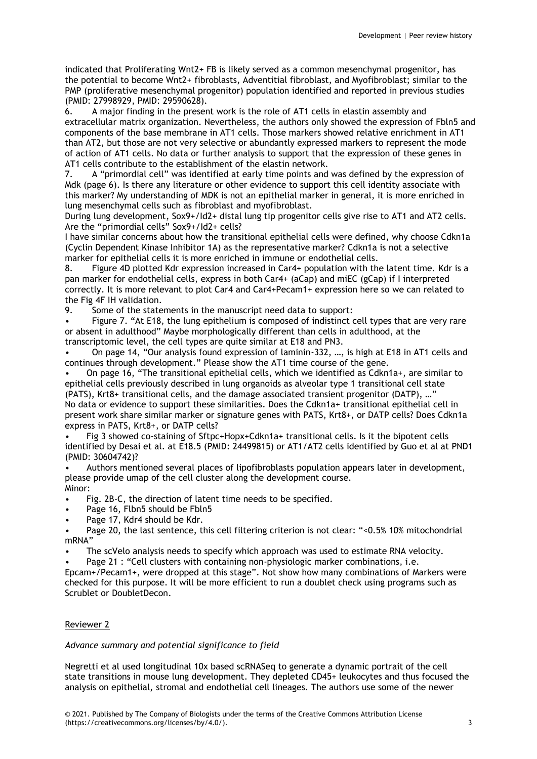indicated that Proliferating Wnt2+ FB is likely served as a common mesenchymal progenitor, has the potential to become Wnt2+ fibroblasts, Adventitial fibroblast, and Myofibroblast; similar to the PMP (proliferative mesenchymal progenitor) population identified and reported in previous studies (PMID: 27998929, PMID: 29590628).

6. A major finding in the present work is the role of AT1 cells in elastin assembly and extracellular matrix organization. Nevertheless, the authors only showed the expression of Fbln5 and components of the base membrane in AT1 cells. Those markers showed relative enrichment in AT1 than AT2, but those are not very selective or abundantly expressed markers to represent the mode of action of AT1 cells. No data or further analysis to support that the expression of these genes in AT1 cells contribute to the establishment of the elastin network.

7. A "primordial cell" was identified at early time points and was defined by the expression of Mdk (page 6). Is there any literature or other evidence to support this cell identity associate with this marker? My understanding of MDK is not an epithelial marker in general, it is more enriched in lung mesenchymal cells such as fibroblast and myofibroblast.

During lung development, Sox9+/Id2+ distal lung tip progenitor cells give rise to AT1 and AT2 cells. Are the "primordial cells" Sox9+/Id2+ cells?

I have similar concerns about how the transitional epithelial cells were defined, why choose Cdkn1a (Cyclin Dependent Kinase Inhibitor 1A) as the representative marker? Cdkn1a is not a selective marker for epithelial cells it is more enriched in immune or endothelial cells.

8. Figure 4D plotted Kdr expression increased in Car4+ population with the latent time. Kdr is a pan marker for endothelial cells, express in both Car4+ (aCap) and miEC (gCap) if I interpreted correctly. It is more relevant to plot Car4 and Car4+Pecam1+ expression here so we can related to the Fig 4F IH validation.

9. Some of the statements in the manuscript need data to support:

• Figure 7. "At E18, the lung epithelium is composed of indistinct cell types that are very rare or absent in adulthood" Maybe morphologically different than cells in adulthood, at the transcriptomic level, the cell types are quite similar at E18 and PN3.

• On page 14, "Our analysis found expression of laminin-332, …, is high at E18 in AT1 cells and continues through development." Please show the AT1 time course of the gene.

• On page 16, "The transitional epithelial cells, which we identified as Cdkn1a+, are similar to epithelial cells previously described in lung organoids as alveolar type 1 transitional cell state (PATS), Krt8+ transitional cells, and the damage associated transient progenitor (DATP), …" No data or evidence to support these similarities. Does the Cdkn1a+ transitional epithelial cell in present work share similar marker or signature genes with PATS, Krt8+, or DATP cells? Does Cdkn1a express in PATS, Krt8+, or DATP cells?

• Fig 3 showed co-staining of Sftpc+Hopx+Cdkn1a+ transitional cells. Is it the bipotent cells identified by Desai et al. at E18.5 (PMID: 24499815) or AT1/AT2 cells identified by Guo et al at PND1 (PMID: 30604742)?

• Authors mentioned several places of lipofibroblasts population appears later in development, please provide umap of the cell cluster along the development course. Minor:

Fig. 2B-C, the direction of latent time needs to be specified.

- Page 16, Flbn5 should be Fbln5
- Page 17, Kdr4 should be Kdr.

• Page 20, the last sentence, this cell filtering criterion is not clear: "<0.5% 10% mitochondrial mRNA"

• The scVelo analysis needs to specify which approach was used to estimate RNA velocity.

• Page 21 : "Cell clusters with containing non-physiologic marker combinations, i.e.

Epcam+/Pecam1+, were dropped at this stage". Not show how many combinations of Markers were checked for this purpose. It will be more efficient to run a doublet check using programs such as Scrublet or DoubletDecon.

# Reviewer 2

# *Advance summary and potential significance to field*

Negretti et al used longitudinal 10x based scRNASeq to generate a dynamic portrait of the cell state transitions in mouse lung development. They depleted CD45+ leukocytes and thus focused the analysis on epithelial, stromal and endothelial cell lineages. The authors use some of the newer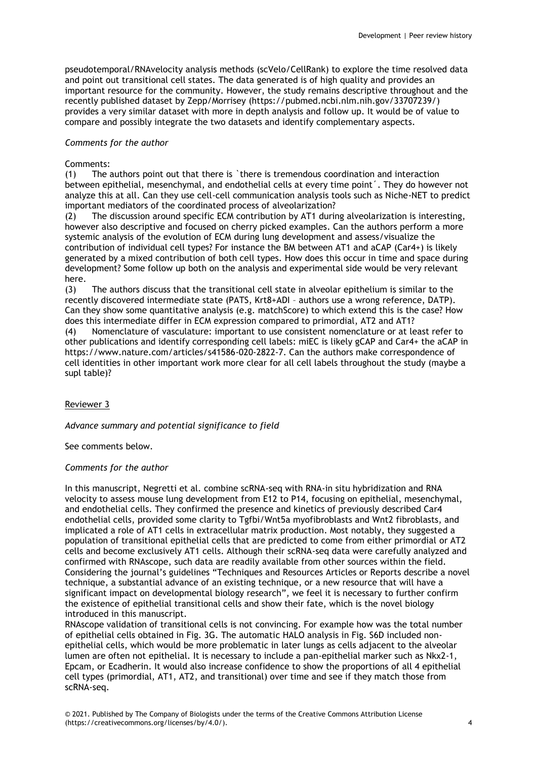pseudotemporal/RNAvelocity analysis methods (scVelo/CellRank) to explore the time resolved data and point out transitional cell states. The data generated is of high quality and provides an important resource for the community. However, the study remains descriptive throughout and the recently published dataset by Zepp/Morrisey (https://pubmed.ncbi.nlm.nih.gov/33707239/) provides a very similar dataset with more in depth analysis and follow up. It would be of value to compare and possibly integrate the two datasets and identify complementary aspects.

## *Comments for the author*

# Comments:

(1) The authors point out that there is `there is tremendous coordination and interaction between epithelial, mesenchymal, and endothelial cells at every time point´. They do however not analyze this at all. Can they use cell-cell communication analysis tools such as Niche-NET to predict important mediators of the coordinated process of alveolarization?

(2) The discussion around specific ECM contribution by AT1 during alveolarization is interesting, however also descriptive and focused on cherry picked examples. Can the authors perform a more systemic analysis of the evolution of ECM during lung development and assess/visualize the contribution of individual cell types? For instance the BM between AT1 and aCAP (Car4+) is likely generated by a mixed contribution of both cell types. How does this occur in time and space during development? Some follow up both on the analysis and experimental side would be very relevant here.

(3) The authors discuss that the transitional cell state in alveolar epithelium is similar to the recently discovered intermediate state (PATS, Krt8+ADI – authors use a wrong reference, DATP). Can they show some quantitative analysis (e.g. matchScore) to which extend this is the case? How does this intermediate differ in ECM expression compared to primordial, AT2 and AT1?

(4) Nomenclature of vasculature: important to use consistent nomenclature or at least refer to other publications and identify corresponding cell labels: miEC is likely gCAP and Car4+ the aCAP in https://www.nature.com/articles/s41586-020-2822-7. Can the authors make correspondence of cell identities in other important work more clear for all cell labels throughout the study (maybe a supl table)?

## Reviewer 3

## *Advance summary and potential significance to field*

See comments below.

## *Comments for the author*

In this manuscript, Negretti et al. combine scRNA-seq with RNA-in situ hybridization and RNA velocity to assess mouse lung development from E12 to P14, focusing on epithelial, mesenchymal, and endothelial cells. They confirmed the presence and kinetics of previously described Car4 endothelial cells, provided some clarity to Tgfbi/Wnt5a myofibroblasts and Wnt2 fibroblasts, and implicated a role of AT1 cells in extracellular matrix production. Most notably, they suggested a population of transitional epithelial cells that are predicted to come from either primordial or AT2 cells and become exclusively AT1 cells. Although their scRNA-seq data were carefully analyzed and confirmed with RNAscope, such data are readily available from other sources within the field. Considering the journal's guidelines "Techniques and Resources Articles or Reports describe a novel technique, a substantial advance of an existing technique, or a new resource that will have a significant impact on developmental biology research", we feel it is necessary to further confirm the existence of epithelial transitional cells and show their fate, which is the novel biology introduced in this manuscript.

RNAscope validation of transitional cells is not convincing. For example how was the total number of epithelial cells obtained in Fig. 3G. The automatic HALO analysis in Fig. S6D included nonepithelial cells, which would be more problematic in later lungs as cells adjacent to the alveolar lumen are often not epithelial. It is necessary to include a pan-epithelial marker such as Nkx2-1, Epcam, or Ecadherin. It would also increase confidence to show the proportions of all 4 epithelial cell types (primordial, AT1, AT2, and transitional) over time and see if they match those from scRNA-seq.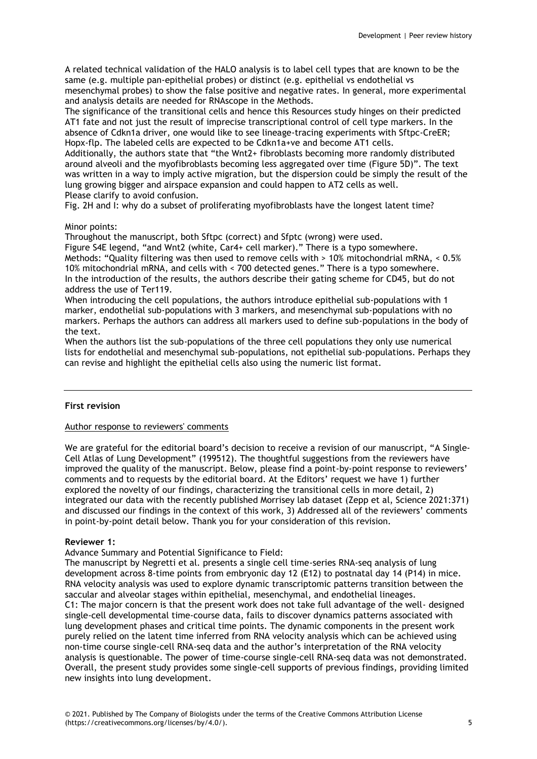A related technical validation of the HALO analysis is to label cell types that are known to be the same (e.g. multiple pan-epithelial probes) or distinct (e.g. epithelial vs endothelial vs mesenchymal probes) to show the false positive and negative rates. In general, more experimental and analysis details are needed for RNAscope in the Methods.

The significance of the transitional cells and hence this Resources study hinges on their predicted AT1 fate and not just the result of imprecise transcriptional control of cell type markers. In the absence of Cdkn1a driver, one would like to see lineage-tracing experiments with Sftpc-CreER; Hopx-flp. The labeled cells are expected to be Cdkn1a+ve and become AT1 cells.

Additionally, the authors state that "the Wnt2+ fibroblasts becoming more randomly distributed around alveoli and the myofibroblasts becoming less aggregated over time (Figure 5D)". The text was written in a way to imply active migration, but the dispersion could be simply the result of the lung growing bigger and airspace expansion and could happen to AT2 cells as well. Please clarify to avoid confusion.

Fig. 2H and I: why do a subset of proliferating myofibroblasts have the longest latent time?

## Minor points:

Throughout the manuscript, both Sftpc (correct) and Sfptc (wrong) were used. Figure S4E legend, "and Wnt2 (white, Car4+ cell marker)." There is a typo somewhere. Methods: "Quality filtering was then used to remove cells with > 10% mitochondrial mRNA, < 0.5% 10% mitochondrial mRNA, and cells with < 700 detected genes." There is a typo somewhere. In the introduction of the results, the authors describe their gating scheme for CD45, but do not address the use of Ter119.

When introducing the cell populations, the authors introduce epithelial sub-populations with 1 marker, endothelial sub-populations with 3 markers, and mesenchymal sub-populations with no markers. Perhaps the authors can address all markers used to define sub-populations in the body of the text.

When the authors list the sub-populations of the three cell populations they only use numerical lists for endothelial and mesenchymal sub-populations, not epithelial sub-populations. Perhaps they can revise and highlight the epithelial cells also using the numeric list format.

## **First revision**

#### Author response to reviewers' comments

We are grateful for the editorial board's decision to receive a revision of our manuscript, "A Single-Cell Atlas of Lung Development" (199512). The thoughtful suggestions from the reviewers have improved the quality of the manuscript. Below, please find a point-by-point response to reviewers' comments and to requests by the editorial board. At the Editors' request we have 1) further explored the novelty of our findings, characterizing the transitional cells in more detail, 2) integrated our data with the recently published Morrisey lab dataset (Zepp et al, Science 2021:371) and discussed our findings in the context of this work, 3) Addressed all of the reviewers' comments in point-by-point detail below. Thank you for your consideration of this revision.

#### **Reviewer 1:**

#### Advance Summary and Potential Significance to Field:

The manuscript by Negretti et al. presents a single cell time-series RNA-seq analysis of lung development across 8-time points from embryonic day 12 (E12) to postnatal day 14 (P14) in mice. RNA velocity analysis was used to explore dynamic transcriptomic patterns transition between the saccular and alveolar stages within epithelial, mesenchymal, and endothelial lineages. C1: The major concern is that the present work does not take full advantage of the well- designed single-cell developmental time-course data, fails to discover dynamics patterns associated with lung development phases and critical time points. The dynamic components in the present work purely relied on the latent time inferred from RNA velocity analysis which can be achieved using non-time course single-cell RNA-seq data and the author's interpretation of the RNA velocity analysis is questionable. The power of time-course single-cell RNA-seq data was not demonstrated. Overall, the present study provides some single-cell supports of previous findings, providing limited new insights into lung development.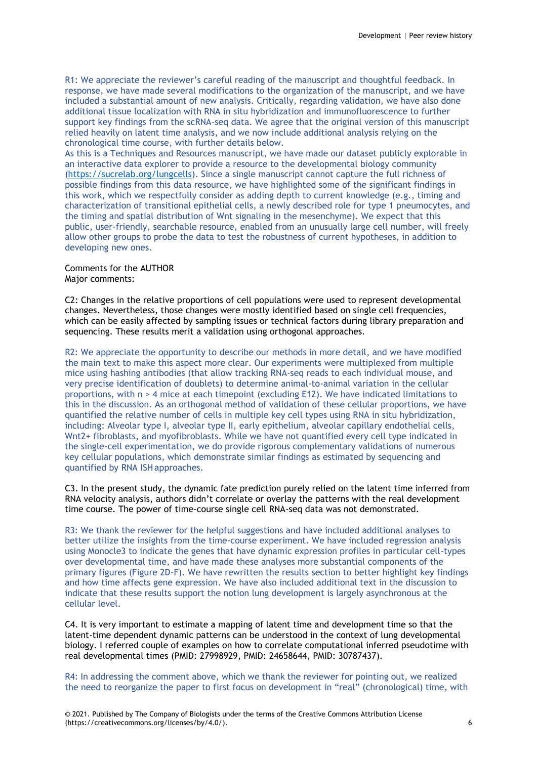R1: We appreciate the reviewer's careful reading of the manuscript and thoughtful feedback. In response, we have made several modifications to the organization of the manuscript, and we have included a substantial amount of new analysis. Critically, regarding validation, we have also done additional tissue localization with RNA in situ hybridization and immunofluorescence to further support key findings from the scRNA-seq data. We agree that the original version of this manuscript relied heavily on latent time analysis, and we now include additional analysis relying on the chronological time course, with further details below.

As this is a Techniques and Resources manuscript, we have made our dataset publicly explorable in an interactive data explorer to provide a resource to the developmental biology community (https://sucrelab.org/lungcells). Since a single manuscript cannot capture the full richness of possible findings from this data resource, we have highlighted some of the significant findings in this work, which we respectfully consider as adding depth to current knowledge (e.g., timing and characterization of transitional epithelial cells, a newly described role for type 1 pneumocytes, and the timing and spatial distribution of Wnt signaling in the mesenchyme). We expect that this public, user-friendly, searchable resource, enabled from an unusually large cell number, will freely allow other groups to probe the data to test the robustness of current hypotheses, in addition to developing new ones.

## Comments for the AUTHOR Major comments:

C2: Changes in the relative proportions of cell populations were used to represent developmental changes. Nevertheless, those changes were mostly identified based on single cell frequencies, which can be easily affected by sampling issues or technical factors during library preparation and sequencing. These results merit a validation using orthogonal approaches.

R2: We appreciate the opportunity to describe our methods in more detail, and we have modified the main text to make this aspect more clear. Our experiments were multiplexed from multiple mice using hashing antibodies (that allow tracking RNA-seq reads to each individual mouse, and very precise identification of doublets) to determine animal-to-animal variation in the cellular proportions, with n > 4 mice at each timepoint (excluding E12). We have indicated limitations to this in the discussion. As an orthogonal method of validation of these cellular proportions, we have quantified the relative number of cells in multiple key cell types using RNA in situ hybridization, including: Alveolar type I, alveolar type II, early epithelium, alveolar capillary endothelial cells, Wnt2+ fibroblasts, and myofibroblasts. While we have not quantified every cell type indicated in the single-cell experimentation, we do provide rigorous complementary validations of numerous key cellular populations, which demonstrate similar findings as estimated by sequencing and quantified by RNA ISHapproaches.

C3. In the present study, the dynamic fate prediction purely relied on the latent time inferred from RNA velocity analysis, authors didn't correlate or overlay the patterns with the real development time course. The power of time-course single cell RNA-seq data was not demonstrated.

R3: We thank the reviewer for the helpful suggestions and have included additional analyses to better utilize the insights from the time-course experiment. We have included regression analysis using Monocle3 to indicate the genes that have dynamic expression profiles in particular cell-types over developmental time, and have made these analyses more substantial components of the primary figures (Figure 2D-F). We have rewritten the results section to better highlight key findings and how time affects gene expression. We have also included additional text in the discussion to indicate that these results support the notion lung development is largely asynchronous at the cellular level.

C4. It is very important to estimate a mapping of latent time and development time so that the latent-time dependent dynamic patterns can be understood in the context of lung developmental biology. I referred couple of examples on how to correlate computational inferred pseudotime with real developmental times (PMID: 27998929, PMID: 24658644, PMID: 30787437).

R4: In addressing the comment above, which we thank the reviewer for pointing out, we realized the need to reorganize the paper to first focus on development in "real" (chronological) time, with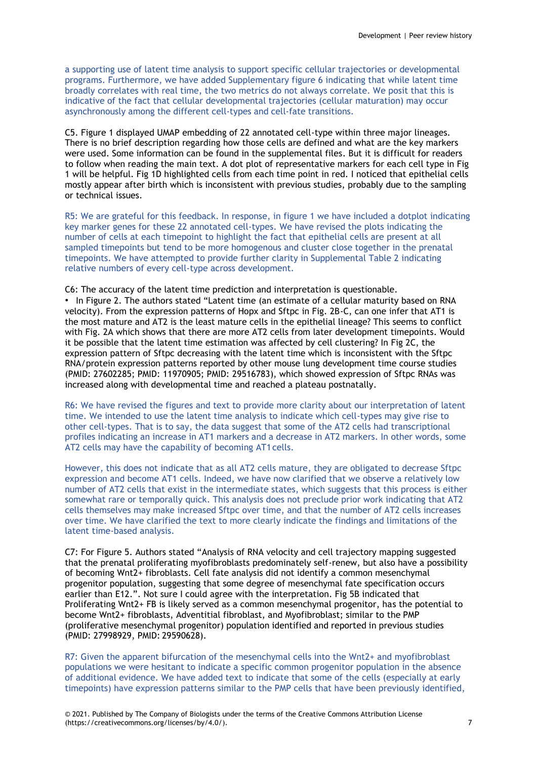a supporting use of latent time analysis to support specific cellular trajectories or developmental programs. Furthermore, we have added Supplementary figure 6 indicating that while latent time broadly correlates with real time, the two metrics do not always correlate. We posit that this is indicative of the fact that cellular developmental trajectories (cellular maturation) may occur asynchronously among the different cell-types and cell-fate transitions.

C5. Figure 1 displayed UMAP embedding of 22 annotated cell-type within three major lineages. There is no brief description regarding how those cells are defined and what are the key markers were used. Some information can be found in the supplemental files. But it is difficult for readers to follow when reading the main text. A dot plot of representative markers for each cell type in Fig 1 will be helpful. Fig 1D highlighted cells from each time point in red. I noticed that epithelial cells mostly appear after birth which is inconsistent with previous studies, probably due to the sampling or technical issues.

R5: We are grateful for this feedback. In response, in figure 1 we have included a dotplot indicating key marker genes for these 22 annotated cell-types. We have revised the plots indicating the number of cells at each timepoint to highlight the fact that epithelial cells are present at all sampled timepoints but tend to be more homogenous and cluster close together in the prenatal timepoints. We have attempted to provide further clarity in Supplemental Table 2 indicating relative numbers of every cell-type across development.

C6: The accuracy of the latent time prediction and interpretation is questionable.

• In Figure 2. The authors stated "Latent time (an estimate of a cellular maturity based on RNA velocity). From the expression patterns of Hopx and Sftpc in Fig. 2B-C, can one infer that AT1 is the most mature and AT2 is the least mature cells in the epithelial lineage? This seems to conflict with Fig. 2A which shows that there are more AT2 cells from later development timepoints. Would it be possible that the latent time estimation was affected by cell clustering? In Fig 2C, the expression pattern of Sftpc decreasing with the latent time which is inconsistent with the Sftpc RNA/protein expression patterns reported by other mouse lung development time course studies (PMID: 27602285; PMID: 11970905; PMID: 29516783), which showed expression of Sftpc RNAs was increased along with developmental time and reached a plateau postnatally.

R6: We have revised the figures and text to provide more clarity about our interpretation of latent time. We intended to use the latent time analysis to indicate which cell-types may give rise to other cell-types. That is to say, the data suggest that some of the AT2 cells had transcriptional profiles indicating an increase in AT1 markers and a decrease in AT2 markers. In other words, some AT2 cells may have the capability of becoming AT1cells.

However, this does not indicate that as all AT2 cells mature, they are obligated to decrease Sftpc expression and become AT1 cells. Indeed, we have now clarified that we observe a relatively low number of AT2 cells that exist in the intermediate states, which suggests that this process is either somewhat rare or temporally quick. This analysis does not preclude prior work indicating that AT2 cells themselves may make increased Sftpc over time, and that the number of AT2 cells increases over time. We have clarified the text to more clearly indicate the findings and limitations of the latent time-based analysis.

C7: For Figure 5. Authors stated "Analysis of RNA velocity and cell trajectory mapping suggested that the prenatal proliferating myofibroblasts predominately self-renew, but also have a possibility of becoming Wnt2+ fibroblasts. Cell fate analysis did not identify a common mesenchymal progenitor population, suggesting that some degree of mesenchymal fate specification occurs earlier than E12.". Not sure I could agree with the interpretation. Fig 5B indicated that Proliferating Wnt2+ FB is likely served as a common mesenchymal progenitor, has the potential to become Wnt2+ fibroblasts, Adventitial fibroblast, and Myofibroblast; similar to the PMP (proliferative mesenchymal progenitor) population identified and reported in previous studies (PMID: 27998929, PMID: 29590628).

R7: Given the apparent bifurcation of the mesenchymal cells into the Wnt2+ and myofibroblast populations we were hesitant to indicate a specific common progenitor population in the absence of additional evidence. We have added text to indicate that some of the cells (especially at early timepoints) have expression patterns similar to the PMP cells that have been previously identified,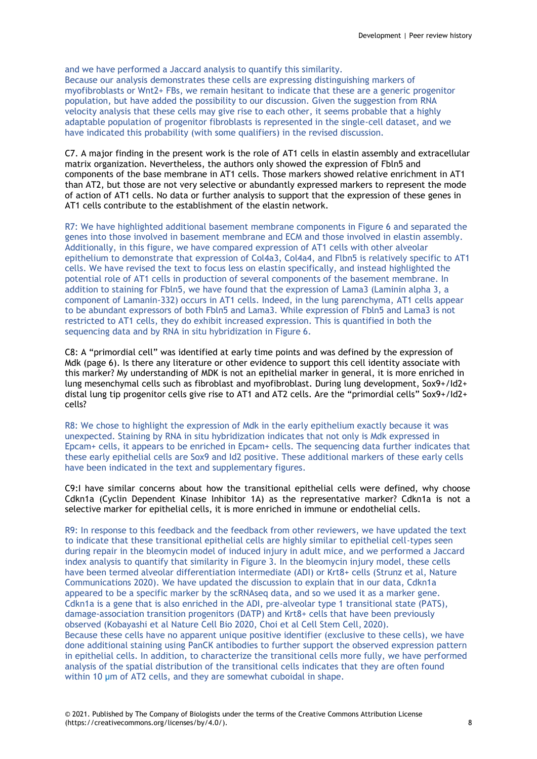and we have performed a Jaccard analysis to quantify this similarity. Because our analysis demonstrates these cells are expressing distinguishing markers of myofibroblasts or Wnt2+ FBs, we remain hesitant to indicate that these are a generic progenitor population, but have added the possibility to our discussion. Given the suggestion from RNA velocity analysis that these cells may give rise to each other, it seems probable that a highly adaptable population of progenitor fibroblasts is represented in the single-cell dataset, and we have indicated this probability (with some qualifiers) in the revised discussion.

C7. A major finding in the present work is the role of AT1 cells in elastin assembly and extracellular matrix organization. Nevertheless, the authors only showed the expression of Fbln5 and components of the base membrane in AT1 cells. Those markers showed relative enrichment in AT1 than AT2, but those are not very selective or abundantly expressed markers to represent the mode of action of AT1 cells. No data or further analysis to support that the expression of these genes in AT1 cells contribute to the establishment of the elastin network.

R7: We have highlighted additional basement membrane components in Figure 6 and separated the genes into those involved in basement membrane and ECM and those involved in elastin assembly. Additionally, in this figure, we have compared expression of AT1 cells with other alveolar epithelium to demonstrate that expression of Col4a3, Col4a4, and Flbn5 is relatively specific to AT1 cells. We have revised the text to focus less on elastin specifically, and instead highlighted the potential role of AT1 cells in production of several components of the basement membrane. In addition to staining for Fbln5, we have found that the expression of Lama3 (Laminin alpha 3, a component of Lamanin-332) occurs in AT1 cells. Indeed, in the lung parenchyma, AT1 cells appear to be abundant expressors of both Fbln5 and Lama3. While expression of Fbln5 and Lama3 is not restricted to AT1 cells, they do exhibit increased expression. This is quantified in both the sequencing data and by RNA in situ hybridization in Figure 6.

C8: A "primordial cell" was identified at early time points and was defined by the expression of Mdk (page 6). Is there any literature or other evidence to support this cell identity associate with this marker? My understanding of MDK is not an epithelial marker in general, it is more enriched in lung mesenchymal cells such as fibroblast and myofibroblast. During lung development, Sox9+/Id2+ distal lung tip progenitor cells give rise to AT1 and AT2 cells. Are the "primordial cells" Sox9+/Id2+ cells?

R8: We chose to highlight the expression of Mdk in the early epithelium exactly because it was unexpected. Staining by RNA in situ hybridization indicates that not only is Mdk expressed in Epcam+ cells, it appears to be enriched in Epcam+ cells. The sequencing data further indicates that these early epithelial cells are Sox9 and Id2 positive. These additional markers of these early cells have been indicated in the text and supplementary figures.

C9:I have similar concerns about how the transitional epithelial cells were defined, why choose Cdkn1a (Cyclin Dependent Kinase Inhibitor 1A) as the representative marker? Cdkn1a is not a selective marker for epithelial cells, it is more enriched in immune or endothelial cells.

R9: In response to this feedback and the feedback from other reviewers, we have updated the text to indicate that these transitional epithelial cells are highly similar to epithelial cell-types seen during repair in the bleomycin model of induced injury in adult mice, and we performed a Jaccard index analysis to quantify that similarity in Figure 3. In the bleomycin injury model, these cells have been termed alveolar differentiation intermediate (ADI) or Krt8+ cells (Strunz et al. Nature Communications 2020). We have updated the discussion to explain that in our data, Cdkn1a appeared to be a specific marker by the scRNAseq data, and so we used it as a marker gene. Cdkn1a is a gene that is also enriched in the ADI, pre-alveolar type 1 transitional state (PATS), damage-association transition progenitors (DATP) and Krt8+ cells that have been previously observed (Kobayashi et al Nature Cell Bio 2020, Choi et al Cell Stem Cell, 2020). Because these cells have no apparent unique positive identifier (exclusive to these cells), we have done additional staining using PanCK antibodies to further support the observed expression pattern in epithelial cells. In addition, to characterize the transitional cells more fully, we have performed analysis of the spatial distribution of the transitional cells indicates that they are often found within 10 μm of AT2 cells, and they are somewhat cuboidal in shape.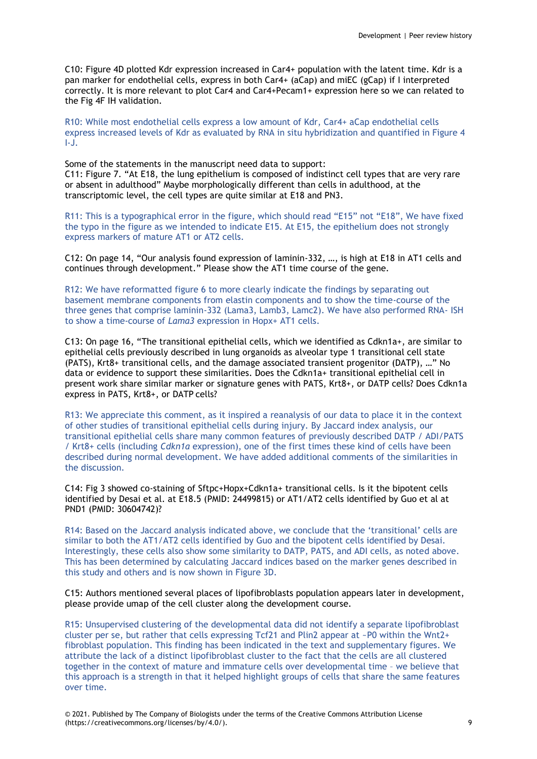C10: Figure 4D plotted Kdr expression increased in Car4+ population with the latent time. Kdr is a pan marker for endothelial cells, express in both Car4+ (aCap) and miEC (gCap) if I interpreted correctly. It is more relevant to plot Car4 and Car4+Pecam1+ expression here so we can related to the Fig 4F IH validation.

R10: While most endothelial cells express a low amount of Kdr, Car4+ aCap endothelial cells express increased levels of Kdr as evaluated by RNA in situ hybridization and quantified in Figure 4 I-J.

Some of the statements in the manuscript need data to support: C11: Figure 7. "At E18, the lung epithelium is composed of indistinct cell types that are very rare or absent in adulthood" Maybe morphologically different than cells in adulthood, at the transcriptomic level, the cell types are quite similar at E18 and PN3.

R11: This is a typographical error in the figure, which should read "E15" not "E18", We have fixed the typo in the figure as we intended to indicate E15. At E15, the epithelium does not strongly express markers of mature AT1 or AT2 cells.

C12: On page 14, "Our analysis found expression of laminin-332, …, is high at E18 in AT1 cells and continues through development." Please show the AT1 time course of the gene.

R12: We have reformatted figure 6 to more clearly indicate the findings by separating out basement membrane components from elastin components and to show the time-course of the three genes that comprise laminin-332 (Lama3, Lamb3, Lamc2). We have also performed RNA- ISH to show a time-course of *Lama3* expression in Hopx+ AT1 cells.

C13: On page 16, "The transitional epithelial cells, which we identified as Cdkn1a+, are similar to epithelial cells previously described in lung organoids as alveolar type 1 transitional cell state (PATS), Krt8+ transitional cells, and the damage associated transient progenitor (DATP), …" No data or evidence to support these similarities. Does the Cdkn1a+ transitional epithelial cell in present work share similar marker or signature genes with PATS, Krt8+, or DATP cells? Does Cdkn1a express in PATS, Krt8+, or DATP cells?

R13: We appreciate this comment, as it inspired a reanalysis of our data to place it in the context of other studies of transitional epithelial cells during injury. By Jaccard index analysis, our transitional epithelial cells share many common features of previously described DATP / ADI/PATS / Krt8+ cells (including *Cdkn1a* expression), one of the first times these kind of cells have been described during normal development. We have added additional comments of the similarities in the discussion.

C14: Fig 3 showed co-staining of Sftpc+Hopx+Cdkn1a+ transitional cells. Is it the bipotent cells identified by Desai et al. at E18.5 (PMID: 24499815) or AT1/AT2 cells identified by Guo et al at PND1 (PMID: 30604742)?

R14: Based on the Jaccard analysis indicated above, we conclude that the 'transitional' cells are similar to both the AT1/AT2 cells identified by Guo and the bipotent cells identified by Desai. Interestingly, these cells also show some similarity to DATP, PATS, and ADI cells, as noted above. This has been determined by calculating Jaccard indices based on the marker genes described in this study and others and is now shown in Figure 3D.

C15: Authors mentioned several places of lipofibroblasts population appears later in development, please provide umap of the cell cluster along the development course.

R15: Unsupervised clustering of the developmental data did not identify a separate lipofibroblast cluster per se, but rather that cells expressing Tcf21 and Plin2 appear at ~P0 within the Wnt2+ fibroblast population. This finding has been indicated in the text and supplementary figures. We attribute the lack of a distinct lipofibroblast cluster to the fact that the cells are all clustered together in the context of mature and immature cells over developmental time – we believe that this approach is a strength in that it helped highlight groups of cells that share the same features over time.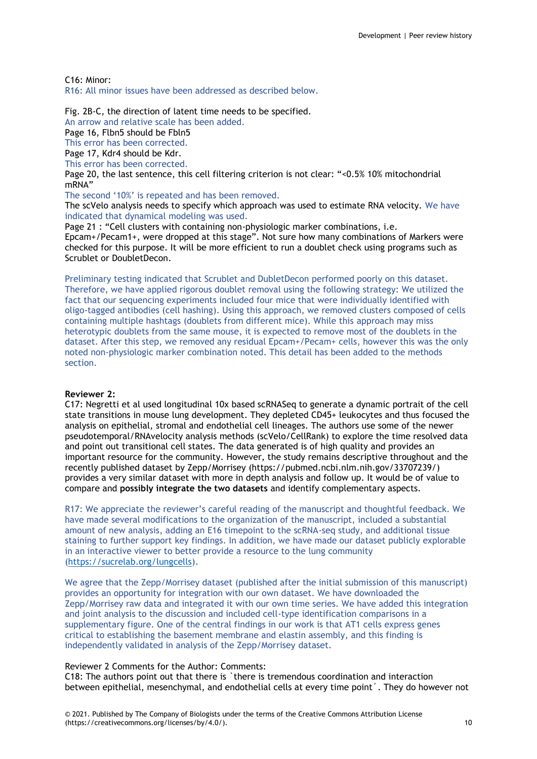C16: Minor:

R16: All minor issues have been addressed as described below.

Fig. 2B-C, the direction of latent time needs to be specified. An arrow and relative scale has been added.

Page 16, Flbn5 should be Fbln5

This error has been corrected.

Page 17, Kdr4 should be Kdr.

This error has been corrected.

Page 20, the last sentence, this cell filtering criterion is not clear: "<0.5% 10% mitochondrial mRNA"

The second '10%' is repeated and has been removed.

The scVelo analysis needs to specify which approach was used to estimate RNA velocity. We have indicated that dynamical modeling was used.

Page 21 : "Cell clusters with containing non-physiologic marker combinations, i.e.

Epcam+/Pecam1+, were dropped at this stage". Not sure how many combinations of Markers were checked for this purpose. It will be more efficient to run a doublet check using programs such as Scrublet or DoubletDecon.

Preliminary testing indicated that Scrublet and DubletDecon performed poorly on this dataset. Therefore, we have applied rigorous doublet removal using the following strategy: We utilized the fact that our sequencing experiments included four mice that were individually identified with oligo-tagged antibodies (cell hashing). Using this approach, we removed clusters composed of cells containing multiple hashtags (doublets from different mice). While this approach may miss heterotypic doublets from the same mouse, it is expected to remove most of the doublets in the dataset. After this step, we removed any residual Epcam+/Pecam+ cells, however this was the only noted non-physiologic marker combination noted. This detail has been added to the methods section.

## **Reviewer 2:**

C17: Negretti et al used longitudinal 10x based scRNASeq to generate a dynamic portrait of the cell state transitions in mouse lung development. They depleted CD45+ leukocytes and thus focused the analysis on epithelial, stromal and endothelial cell lineages. The authors use some of the newer pseudotemporal/RNAvelocity analysis methods (scVelo/CellRank) to explore the time resolved data and point out transitional cell states. The data generated is of high quality and provides an important resource for the community. However, the study remains descriptive throughout and the recently published dataset by Zepp/Morrisey (https://pubmed.ncbi.nlm.nih.gov/33707239/) provides a very similar dataset with more in depth analysis and follow up. It would be of value to compare and **possibly integrate the two datasets** and identify complementary aspects.

R17: We appreciate the reviewer's careful reading of the manuscript and thoughtful feedback. We have made several modifications to the organization of the manuscript, included a substantial amount of new analysis, adding an E16 timepoint to the scRNA-seq study, and additional tissue staining to further support key findings. In addition, we have made our dataset publicly explorable in an interactive viewer to better provide a resource to the lung community (https://sucrelab.org/lungcells).

We agree that the Zepp/Morrisey dataset (published after the initial submission of this manuscript) provides an opportunity for integration with our own dataset. We have downloaded the Zepp/Morrisey raw data and integrated it with our own time series. We have added this integration and joint analysis to the discussion and included cell-type identification comparisons in a supplementary figure. One of the central findings in our work is that AT1 cells express genes critical to establishing the basement membrane and elastin assembly, and this finding is independently validated in analysis of the Zepp/Morrisey dataset.

# Reviewer 2 Comments for the Author: Comments:

C18: The authors point out that there is `there is tremendous coordination and interaction between epithelial, mesenchymal, and endothelial cells at every time point´. They do however not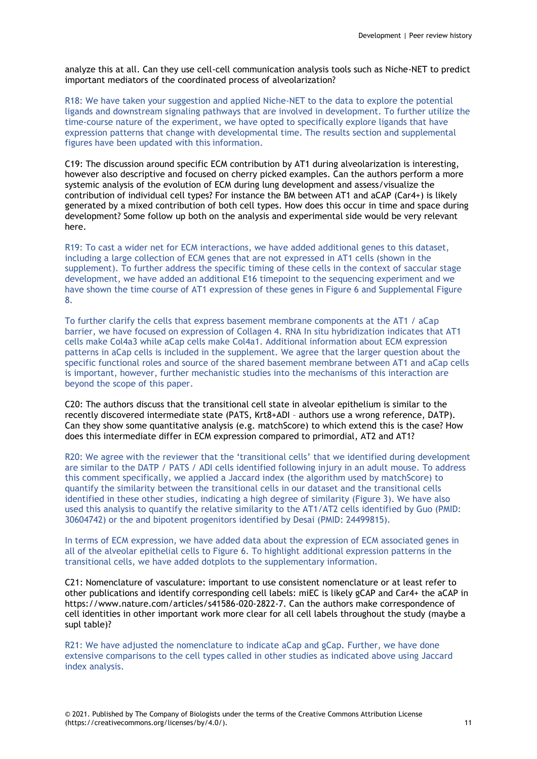analyze this at all. Can they use cell-cell communication analysis tools such as Niche-NET to predict important mediators of the coordinated process of alveolarization?

R18: We have taken your suggestion and applied Niche-NET to the data to explore the potential ligands and downstream signaling pathways that are involved in development. To further utilize the time-course nature of the experiment, we have opted to specifically explore ligands that have expression patterns that change with developmental time. The results section and supplemental figures have been updated with this information.

C19: The discussion around specific ECM contribution by AT1 during alveolarization is interesting, however also descriptive and focused on cherry picked examples. Can the authors perform a more systemic analysis of the evolution of ECM during lung development and assess/visualize the contribution of individual cell types? For instance the BM between AT1 and aCAP (Car4+) is likely generated by a mixed contribution of both cell types. How does this occur in time and space during development? Some follow up both on the analysis and experimental side would be very relevant here.

R19: To cast a wider net for ECM interactions, we have added additional genes to this dataset, including a large collection of ECM genes that are not expressed in AT1 cells (shown in the supplement). To further address the specific timing of these cells in the context of saccular stage development, we have added an additional E16 timepoint to the sequencing experiment and we have shown the time course of AT1 expression of these genes in Figure 6 and Supplemental Figure 8.

To further clarify the cells that express basement membrane components at the AT1 / aCap barrier, we have focused on expression of Collagen 4. RNA In situ hybridization indicates that AT1 cells make Col4a3 while aCap cells make Col4a1. Additional information about ECM expression patterns in aCap cells is included in the supplement. We agree that the larger question about the specific functional roles and source of the shared basement membrane between AT1 and aCap cells is important, however, further mechanistic studies into the mechanisms of this interaction are beyond the scope of this paper.

C20: The authors discuss that the transitional cell state in alveolar epithelium is similar to the recently discovered intermediate state (PATS, Krt8+ADI – authors use a wrong reference, DATP). Can they show some quantitative analysis (e.g. matchScore) to which extend this is the case? How does this intermediate differ in ECM expression compared to primordial, AT2 and AT1?

R20: We agree with the reviewer that the 'transitional cells' that we identified during development are similar to the DATP / PATS / ADI cells identified following injury in an adult mouse. To address this comment specifically, we applied a Jaccard index (the algorithm used by matchScore) to quantify the similarity between the transitional cells in our dataset and the transitional cells identified in these other studies, indicating a high degree of similarity (Figure 3). We have also used this analysis to quantify the relative similarity to the AT1/AT2 cells identified by Guo (PMID: 30604742) or the and bipotent progenitors identified by Desai (PMID: 24499815).

In terms of ECM expression, we have added data about the expression of ECM associated genes in all of the alveolar epithelial cells to Figure 6. To highlight additional expression patterns in the transitional cells, we have added dotplots to the supplementary information.

C21: Nomenclature of vasculature: important to use consistent nomenclature or at least refer to other publications and identify corresponding cell labels: miEC is likely gCAP and Car4+ the aCAP in https:/[/www.nature.com/articles/s41586-020-2822-7.](http://www.nature.com/articles/s41586-020-2822-7) Can the authors make correspondence of cell identities in other important work more clear for all cell labels throughout the study (maybe a supl table)?

R21: We have adjusted the nomenclature to indicate aCap and gCap. Further, we have done extensive comparisons to the cell types called in other studies as indicated above using Jaccard index analysis.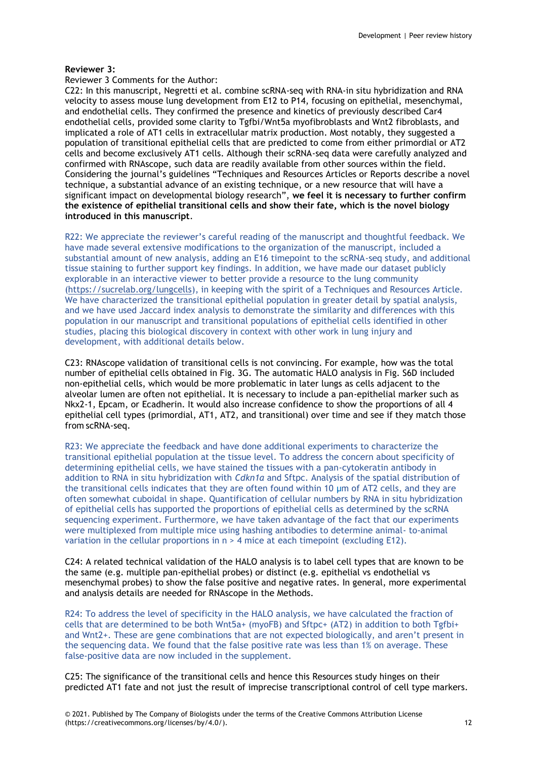# **Reviewer 3:**

Reviewer 3 Comments for the Author:

C22: In this manuscript, Negretti et al. combine scRNA-seq with RNA-in situ hybridization and RNA velocity to assess mouse lung development from E12 to P14, focusing on epithelial, mesenchymal, and endothelial cells. They confirmed the presence and kinetics of previously described Car4 endothelial cells, provided some clarity to Tgfbi/Wnt5a myofibroblasts and Wnt2 fibroblasts, and implicated a role of AT1 cells in extracellular matrix production. Most notably, they suggested a population of transitional epithelial cells that are predicted to come from either primordial or AT2 cells and become exclusively AT1 cells. Although their scRNA-seq data were carefully analyzed and confirmed with RNAscope, such data are readily available from other sources within the field. Considering the journal's guidelines "Techniques and Resources Articles or Reports describe a novel technique, a substantial advance of an existing technique, or a new resource that will have a significant impact on developmental biology research", **we feel it is necessary to further confirm the existence of epithelial transitional cells and show their fate, which is the novel biology introduced in this manuscript**.

R22: We appreciate the reviewer's careful reading of the manuscript and thoughtful feedback. We have made several extensive modifications to the organization of the manuscript, included a substantial amount of new analysis, adding an E16 timepoint to the scRNA-seq study, and additional tissue staining to further support key findings. In addition, we have made our dataset publicly explorable in an interactive viewer to better provide a resource to the lung community (https://sucrelab.org/lungcells), in keeping with the spirit of a Techniques and Resources Article. We have characterized the transitional epithelial population in greater detail by spatial analysis, and we have used Jaccard index analysis to demonstrate the similarity and differences with this population in our manuscript and transitional populations of epithelial cells identified in other studies, placing this biological discovery in context with other work in lung injury and development, with additional details below.

C23: RNAscope validation of transitional cells is not convincing. For example, how was the total number of epithelial cells obtained in Fig. 3G. The automatic HALO analysis in Fig. S6D included non-epithelial cells, which would be more problematic in later lungs as cells adjacent to the alveolar lumen are often not epithelial. It is necessary to include a pan-epithelial marker such as Nkx2-1, Epcam, or Ecadherin. It would also increase confidence to show the proportions of all 4 epithelial cell types (primordial, AT1, AT2, and transitional) over time and see if they match those from scRNA-seq.

R23: We appreciate the feedback and have done additional experiments to characterize the transitional epithelial population at the tissue level. To address the concern about specificity of determining epithelial cells, we have stained the tissues with a pan-cytokeratin antibody in addition to RNA in situ hybridization with *Cdkn1a* and Sftpc. Analysis of the spatial distribution of the transitional cells indicates that they are often found within 10 μm of AT2 cells, and they are often somewhat cuboidal in shape. Quantification of cellular numbers by RNA in situ hybridization of epithelial cells has supported the proportions of epithelial cells as determined by the scRNA sequencing experiment. Furthermore, we have taken advantage of the fact that our experiments were multiplexed from multiple mice using hashing antibodies to determine animal- to-animal variation in the cellular proportions in n > 4 mice at each timepoint (excluding E12).

C24: A related technical validation of the HALO analysis is to label cell types that are known to be the same (e.g. multiple pan-epithelial probes) or distinct (e.g. epithelial vs endothelial vs mesenchymal probes) to show the false positive and negative rates. In general, more experimental and analysis details are needed for RNAscope in the Methods.

R24: To address the level of specificity in the HALO analysis, we have calculated the fraction of cells that are determined to be both Wnt5a+ (myoFB) and Sftpc+ (AT2) in addition to both Tgfbi+ and Wnt2+. These are gene combinations that are not expected biologically, and aren't present in the sequencing data. We found that the false positive rate was less than 1% on average. These false-positive data are now included in the supplement.

C25: The significance of the transitional cells and hence this Resources study hinges on their predicted AT1 fate and not just the result of imprecise transcriptional control of cell type markers.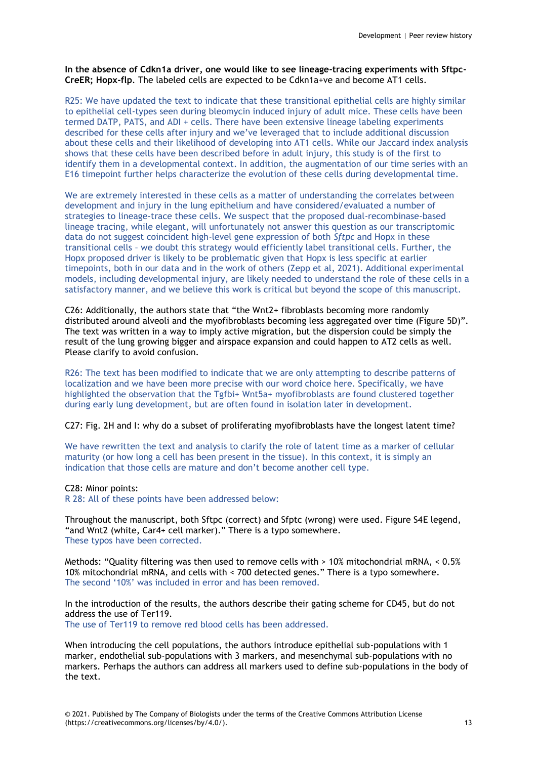## **In the absence of Cdkn1a driver, one would like to see lineage-tracing experiments with Sftpc-CreER; Hopx-flp**. The labeled cells are expected to be Cdkn1a+ve and become AT1 cells.

R25: We have updated the text to indicate that these transitional epithelial cells are highly similar to epithelial cell-types seen during bleomycin induced injury of adult mice. These cells have been termed DATP, PATS, and ADI + cells. There have been extensive lineage labeling experiments described for these cells after injury and we've leveraged that to include additional discussion about these cells and their likelihood of developing into AT1 cells. While our Jaccard index analysis shows that these cells have been described before in adult injury, this study is of the first to identify them in a developmental context. In addition, the augmentation of our time series with an E16 timepoint further helps characterize the evolution of these cells during developmental time.

We are extremely interested in these cells as a matter of understanding the correlates between development and injury in the lung epithelium and have considered/evaluated a number of strategies to lineage-trace these cells. We suspect that the proposed dual-recombinase-based lineage tracing, while elegant, will unfortunately not answer this question as our transcriptomic data do not suggest coincident high-level gene expression of both *Sftpc* and Hopx in these transitional cells – we doubt this strategy would efficiently label transitional cells. Further, the Hopx proposed driver is likely to be problematic given that Hopx is less specific at earlier timepoints, both in our data and in the work of others (Zepp et al, 2021). Additional experimental models, including developmental injury, are likely needed to understand the role of these cells in a satisfactory manner, and we believe this work is critical but beyond the scope of this manuscript.

C26: Additionally, the authors state that "the Wnt2+ fibroblasts becoming more randomly distributed around alveoli and the myofibroblasts becoming less aggregated over time (Figure 5D)". The text was written in a way to imply active migration, but the dispersion could be simply the result of the lung growing bigger and airspace expansion and could happen to AT2 cells as well. Please clarify to avoid confusion.

R26: The text has been modified to indicate that we are only attempting to describe patterns of localization and we have been more precise with our word choice here. Specifically, we have highlighted the observation that the Tgfbi+ Wnt5a+ myofibroblasts are found clustered together during early lung development, but are often found in isolation later in development.

## C27: Fig. 2H and I: why do a subset of proliferating myofibroblasts have the longest latent time?

We have rewritten the text and analysis to clarify the role of latent time as a marker of cellular maturity (or how long a cell has been present in the tissue). In this context, it is simply an indication that those cells are mature and don't become another cell type.

## C28: Minor points:

R 28: All of these points have been addressed below:

Throughout the manuscript, both Sftpc (correct) and Sfptc (wrong) were used. Figure S4E legend, "and Wnt2 (white, Car4+ cell marker)." There is a typo somewhere. These typos have been corrected.

Methods: "Quality filtering was then used to remove cells with > 10% mitochondrial mRNA, < 0.5% 10% mitochondrial mRNA, and cells with < 700 detected genes." There is a typo somewhere. The second '10%' was included in error and has been removed.

In the introduction of the results, the authors describe their gating scheme for CD45, but do not address the use of Ter119.

The use of Ter119 to remove red blood cells has been addressed.

When introducing the cell populations, the authors introduce epithelial sub-populations with 1 marker, endothelial sub-populations with 3 markers, and mesenchymal sub-populations with no markers. Perhaps the authors can address all markers used to define sub-populations in the body of the text.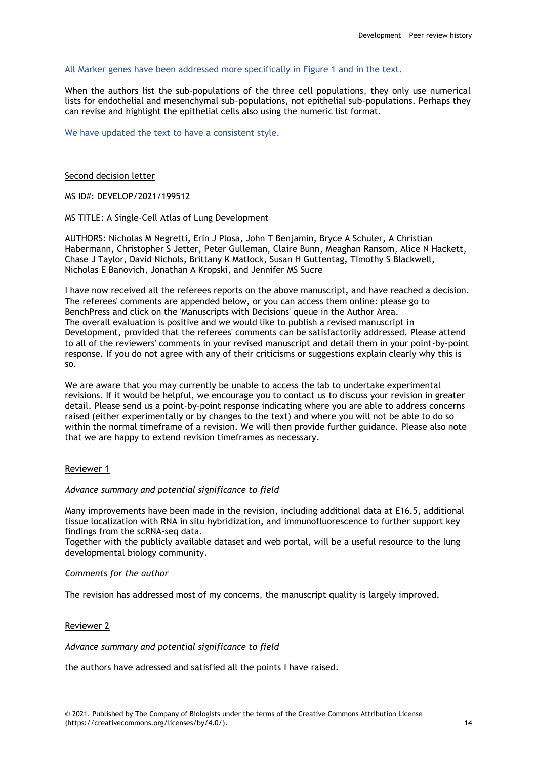## All Marker genes have been addressed more specifically in Figure 1 and in the text.

When the authors list the sub-populations of the three cell populations, they only use numerical lists for endothelial and mesenchymal sub-populations, not epithelial sub-populations. Perhaps they can revise and highlight the epithelial cells also using the numeric list format.

## We have updated the text to have a consistent style.

# Second decision letter

MS ID#: DEVELOP/2021/199512

MS TITLE: A Single-Cell Atlas of Lung Development

AUTHORS: Nicholas M Negretti, Erin J Plosa, John T Benjamin, Bryce A Schuler, A Christian Habermann, Christopher S Jetter, Peter Gulleman, Claire Bunn, Meaghan Ransom, Alice N Hackett, Chase J Taylor, David Nichols, Brittany K Matlock, Susan H Guttentag, Timothy S Blackwell, Nicholas E Banovich, Jonathan A Kropski, and Jennifer MS Sucre

I have now received all the referees reports on the above manuscript, and have reached a decision. The referees' comments are appended below, or you can access them online: please go to BenchPress and click on the 'Manuscripts with Decisions' queue in the Author Area. The overall evaluation is positive and we would like to publish a revised manuscript in Development, provided that the referees' comments can be satisfactorily addressed. Please attend to all of the reviewers' comments in your revised manuscript and detail them in your point-by-point response. If you do not agree with any of their criticisms or suggestions explain clearly why this is so.

We are aware that you may currently be unable to access the lab to undertake experimental revisions. If it would be helpful, we encourage you to contact us to discuss your revision in greater detail. Please send us a point-by-point response indicating where you are able to address concerns raised (either experimentally or by changes to the text) and where you will not be able to do so within the normal timeframe of a revision. We will then provide further guidance. Please also note that we are happy to extend revision timeframes as necessary.

## Reviewer 1

# *Advance summary and potential significance to field*

Many improvements have been made in the revision, including additional data at E16.5, additional tissue localization with RNA in situ hybridization, and immunofluorescence to further support key findings from the scRNA-seq data.

Together with the publicly available dataset and web portal, will be a useful resource to the lung developmental biology community.

#### *Comments for the author*

The revision has addressed most of my concerns, the manuscript quality is largely improved.

## Reviewer 2

*Advance summary and potential significance to field*

the authors have adressed and satisfied all the points I have raised.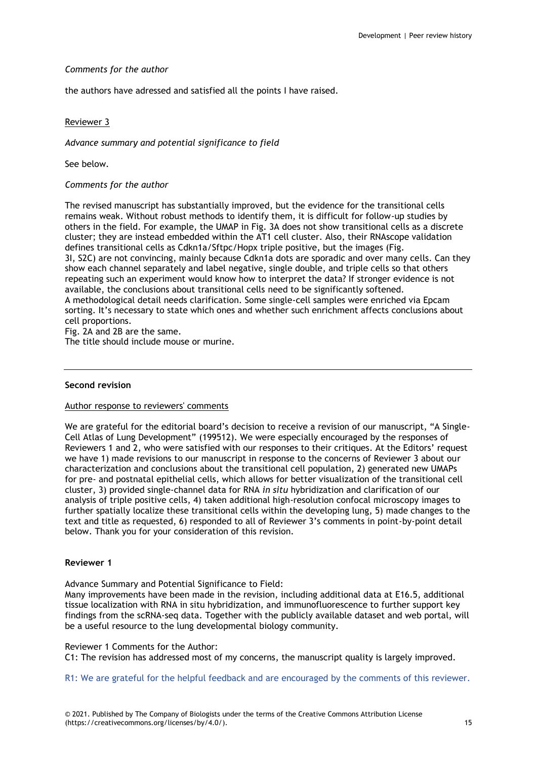## *Comments for the author*

the authors have adressed and satisfied all the points I have raised.

## Reviewer 3

*Advance summary and potential significance to field*

See below.

*Comments for the author*

The revised manuscript has substantially improved, but the evidence for the transitional cells remains weak. Without robust methods to identify them, it is difficult for follow-up studies by others in the field. For example, the UMAP in Fig. 3A does not show transitional cells as a discrete cluster; they are instead embedded within the AT1 cell cluster. Also, their RNAscope validation defines transitional cells as Cdkn1a/Sftpc/Hopx triple positive, but the images (Fig. 3I, S2C) are not convincing, mainly because Cdkn1a dots are sporadic and over many cells. Can they show each channel separately and label negative, single double, and triple cells so that others repeating such an experiment would know how to interpret the data? If stronger evidence is not available, the conclusions about transitional cells need to be significantly softened. A methodological detail needs clarification. Some single-cell samples were enriched via Epcam sorting. It's necessary to state which ones and whether such enrichment affects conclusions about cell proportions.

Fig. 2A and 2B are the same.

The title should include mouse or murine.

## **Second revision**

Author response to reviewers' comments

We are grateful for the editorial board's decision to receive a revision of our manuscript, "A Single-Cell Atlas of Lung Development" (199512). We were especially encouraged by the responses of Reviewers 1 and 2, who were satisfied with our responses to their critiques. At the Editors' request we have 1) made revisions to our manuscript in response to the concerns of Reviewer 3 about our characterization and conclusions about the transitional cell population, 2) generated new UMAPs for pre- and postnatal epithelial cells, which allows for better visualization of the transitional cell cluster, 3) provided single-channel data for RNA *in situ* hybridization and clarification of our analysis of triple positive cells, 4) taken additional high-resolution confocal microscopy images to further spatially localize these transitional cells within the developing lung, 5) made changes to the text and title as requested, 6) responded to all of Reviewer 3's comments in point-by-point detail below. Thank you for your consideration of this revision.

## **Reviewer 1**

Advance Summary and Potential Significance to Field:

Many improvements have been made in the revision, including additional data at E16.5, additional tissue localization with RNA in situ hybridization, and immunofluorescence to further support key findings from the scRNA-seq data. Together with the publicly available dataset and web portal, will be a useful resource to the lung developmental biology community.

#### Reviewer 1 Comments for the Author:

C1: The revision has addressed most of my concerns, the manuscript quality is largely improved.

R1: We are grateful for the helpful feedback and are encouraged by the comments of this reviewer.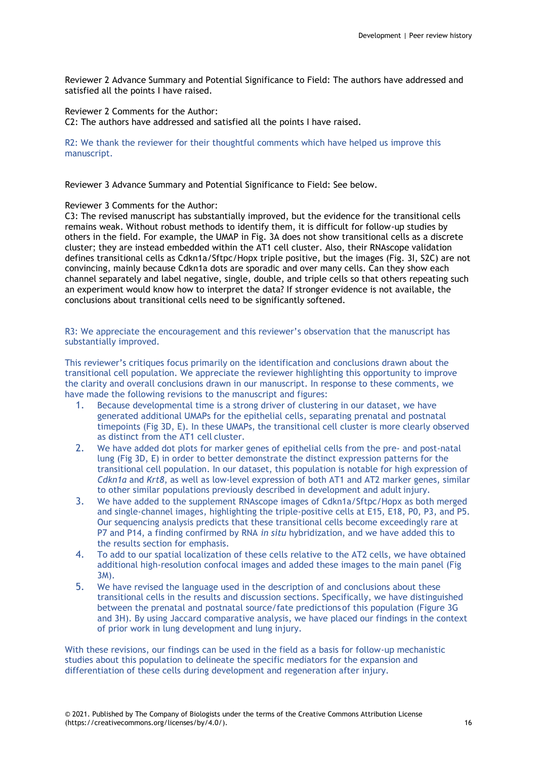Reviewer 2 Advance Summary and Potential Significance to Field: The authors have addressed and satisfied all the points I have raised.

Reviewer 2 Comments for the Author: C2: The authors have addressed and satisfied all the points I have raised.

R2: We thank the reviewer for their thoughtful comments which have helped us improve this manuscript.

Reviewer 3 Advance Summary and Potential Significance to Field: See below.

Reviewer 3 Comments for the Author:

C3: The revised manuscript has substantially improved, but the evidence for the transitional cells remains weak. Without robust methods to identify them, it is difficult for follow-up studies by others in the field. For example, the UMAP in Fig. 3A does not show transitional cells as a discrete cluster; they are instead embedded within the AT1 cell cluster. Also, their RNAscope validation defines transitional cells as Cdkn1a/Sftpc/Hopx triple positive, but the images (Fig. 3I, S2C) are not convincing, mainly because Cdkn1a dots are sporadic and over many cells. Can they show each channel separately and label negative, single, double, and triple cells so that others repeating such an experiment would know how to interpret the data? If stronger evidence is not available, the conclusions about transitional cells need to be significantly softened.

R3: We appreciate the encouragement and this reviewer's observation that the manuscript has substantially improved.

This reviewer's critiques focus primarily on the identification and conclusions drawn about the transitional cell population. We appreciate the reviewer highlighting this opportunity to improve the clarity and overall conclusions drawn in our manuscript. In response to these comments, we have made the following revisions to the manuscript and figures:

- 1. Because developmental time is a strong driver of clustering in our dataset, we have generated additional UMAPs for the epithelial cells, separating prenatal and postnatal timepoints (Fig 3D, E). In these UMAPs, the transitional cell cluster is more clearly observed as distinct from the AT1 cell cluster.
- 2. We have added dot plots for marker genes of epithelial cells from the pre- and post-natal lung (Fig 3D, E) in order to better demonstrate the distinct expression patterns for the transitional cell population. In our dataset, this population is notable for high expression of *Cdkn1a* and *Krt8*, as well as low-level expression of both AT1 and AT2 marker genes, similar to other similar populations previously described in development and adult injury.
- 3. We have added to the supplement RNAscope images of Cdkn1a/Sftpc/Hopx as both merged and single-channel images, highlighting the triple-positive cells at E15, E18, P0, P3, and P5. Our sequencing analysis predicts that these transitional cells become exceedingly rare at P7 and P14, a finding confirmed by RNA *in situ* hybridization, and we have added this to the results section for emphasis.
- 4. To add to our spatial localization of these cells relative to the AT2 cells, we have obtained additional high-resolution confocal images and added these images to the main panel (Fig 3M).
- 5. We have revised the language used in the description of and conclusions about these transitional cells in the results and discussion sections. Specifically, we have distinguished between the prenatal and postnatal source/fate predictionsof this population (Figure 3G and 3H). By using Jaccard comparative analysis, we have placed our findings in the context of prior work in lung development and lung injury.

With these revisions, our findings can be used in the field as a basis for follow-up mechanistic studies about this population to delineate the specific mediators for the expansion and differentiation of these cells during development and regeneration after injury.